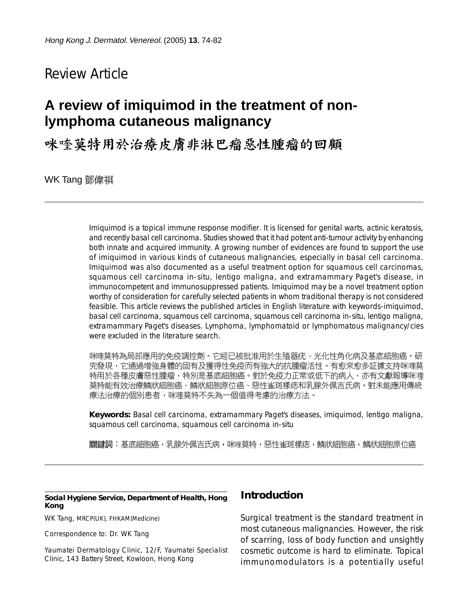## Review Article

# **A review of imiquimod in the treatment of nonlymphoma cutaneous malignancy**

咪喹莫特用於治療皮膚非淋巴瘤惡性腫瘤的回顧

WK Tang 鄧偉祺

Imiquimod is a topical immune response modifier. It is licensed for genital warts, actinic keratosis, and recently basal cell carcinoma. Studies showed that it had potent anti-tumour activity by enhancing both innate and acquired immunity. A growing number of evidences are found to support the use of imiquimod in various kinds of cutaneous malignancies, especially in basal cell carcinoma. Imiquimod was also documented as a useful treatment option for squamous cell carcinomas, squamous cell carcinoma in-situ, lentigo maligna, and extramammary Paget's disease, in immunocompetent and immunosuppressed patients. Imiquimod may be a novel treatment option worthy of consideration for carefully selected patients in whom traditional therapy is not considered feasible. This article reviews the published articles in English literature with keywords-imiquimod, basal cell carcinoma, squamous cell carcinoma, squamous cell carcinoma in-situ, lentigo maligna, extramammary Paget's diseases. Lymphoma, lymphomatoid or lymphomatous malignancy/cies were excluded in the literature search.

咪喹莫特為局部應用的免疫調控劑。它經已被批准用於生殖器疣、光化性角化病及基底細胞癌。研 究發現,它通過增強身體的固有及獲得性免疫而有強大的抗腫瘤活性。有愈來愈多証據支持咪喹莫 特用於各種皮膚惡性腫瘤,特別是基底細胞癌。對於免疫力正常或低下的病人,亦有文獻報導咪喹 莫特能有效治療鱗狀細胞癌、鱗狀細胞原位癌、惡性雀斑樣痣和乳腺外佩吉氏病。對未能應用傳統 療法治療的個別患者,咪喹莫特不失為一個值得考慮的治療方法。

**Keywords:** Basal cell carcinoma, extramammary Paget's diseases, imiquimod, lentigo maligna, squamous cell carcinoma, squamous cell carcinoma in-situ

關鍵詞:基底細胞癌,乳腺外佩吉氏病,咪喹莫特,惡性雀斑樣痣,鱗狀細胞癌,鱗狀細胞原位癌

#### **Social Hygiene Service, Department of Health, Hong Kong**

WK Tang, MRCP(UK), FHKAM(Medicine)

Correspondence to: Dr. WK Tang

Yaumatei Dermatology Clinic, 12/F, Yaumatei Specialist Clinic, 143 Battery Street, Kowloon, Hong Kong

### **Introduction**

Surgical treatment is the standard treatment in most cutaneous malignancies. However, the risk of scarring, loss of body function and unsightly cosmetic outcome is hard to eliminate. Topical immunomodulators is a potentially useful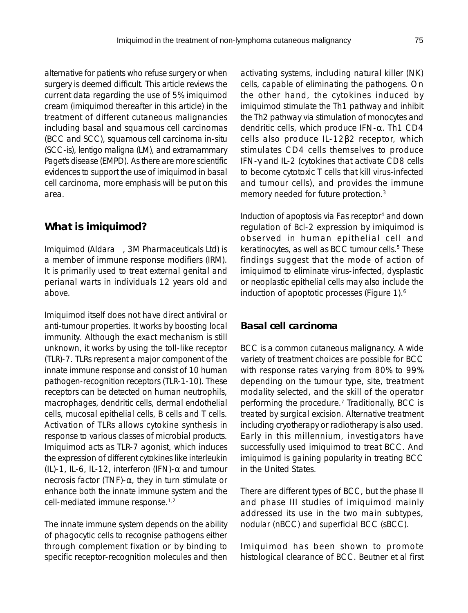alternative for patients who refuse surgery or when surgery is deemed difficult. This article reviews the current data regarding the use of 5% imiquimod cream (imiquimod thereafter in this article) in the treatment of different cutaneous malignancies including basal and squamous cell carcinomas (BCC and SCC), squamous cell carcinoma in-situ (SCC-is), lentigo maligna (LM), and extramammary Paget's disease (EMPD). As there are more scientific evidences to support the use of imiquimod in basal cell carcinoma, more emphasis will be put on this area.

### **What is imiquimod?**

Imiquimod (Aldara™, 3M Pharmaceuticals Ltd) is a member of immune response modifiers (IRM). It is primarily used to treat external genital and perianal warts in individuals 12 years old and above.

Imiquimod itself does not have direct antiviral or anti-tumour properties. It works by boosting local immunity. Although the exact mechanism is still unknown, it works by using the toll-like receptor (TLR)-7. TLRs represent a major component of the innate immune response and consist of 10 human pathogen-recognition receptors (TLR-1-10). These receptors can be detected on human neutrophils, macrophages, dendritic cells, dermal endothelial cells, mucosal epithelial cells, B cells and T cells. Activation of TLRs allows cytokine synthesis in response to various classes of microbial products. Imiquimod acts as TLR-7 agonist, which induces the expression of different cytokines like interleukin (IL)-1, IL-6, IL-12, interferon (IFN)- $\alpha$  and tumour necrosis factor (TNF)-α, they in turn stimulate or enhance both the innate immune system and the cell-mediated immune response.1,2

The innate immune system depends on the ability of phagocytic cells to recognise pathogens either through complement fixation or by binding to specific receptor-recognition molecules and then activating systems, including natural killer (NK) cells, capable of eliminating the pathogens. On the other hand, the cytokines induced by imiquimod stimulate the Th1 pathway and inhibit the Th2 pathway via stimulation of monocytes and dendritic cells, which produce IFN-α. Th1 CD4 cells also produce IL-12β2 receptor, which stimulates CD4 cells themselves to produce IFN-γ and IL-2 (cytokines that activate CD8 cells to become cytotoxic T cells that kill virus-infected and tumour cells), and provides the immune memory needed for future protection.3

Induction of apoptosis via Fas receptor<sup>4</sup> and down regulation of Bcl-2 expression by imiquimod is observed in human epithelial cell and keratinocytes, as well as BCC tumour cells.<sup>5</sup> These findings suggest that the mode of action of imiquimod to eliminate virus-infected, dysplastic or neoplastic epithelial cells may also include the induction of apoptotic processes (Figure 1).<sup>6</sup>

#### **Basal cell carcinoma**

BCC is a common cutaneous malignancy. A wide variety of treatment choices are possible for BCC with response rates varying from 80% to 99% depending on the tumour type, site, treatment modality selected, and the skill of the operator performing the procedure.7 Traditionally, BCC is treated by surgical excision. Alternative treatment including cryotherapy or radiotherapy is also used. Early in this millennium, investigators have successfully used imiquimod to treat BCC. And imiquimod is gaining popularity in treating BCC in the United States.

There are different types of BCC, but the phase II and phase III studies of imiquimod mainly addressed its use in the two main subtypes, nodular (nBCC) and superficial BCC (sBCC).

Imiquimod has been shown to promote histological clearance of BCC. Beutner et al first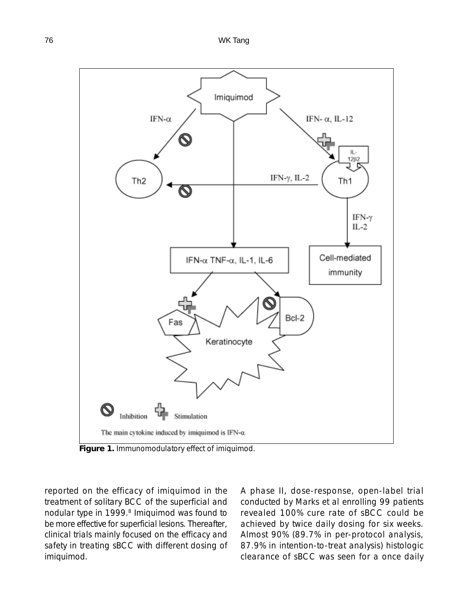

**Figure 1.** Immunomodulatory effect of imiquimod.

reported on the efficacy of imiquimod in the treatment of solitary BCC of the superficial and nodular type in 1999.<sup>8</sup> Imiquimod was found to be more effective for superficial lesions. Thereafter, clinical trials mainly focused on the efficacy and safety in treating sBCC with different dosing of imiquimod.

A phase II, dose-response, open-label trial conducted by Marks et al enrolling 99 patients revealed 100% cure rate of sBCC could be achieved by twice daily dosing for six weeks. Almost 90% (89.7% in per-protocol analysis, 87.9% in intention-to-treat analysis) histologic clearance of sBCC was seen for a once daily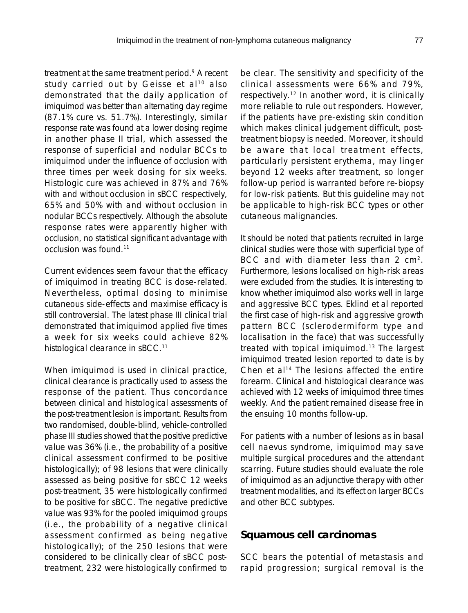treatment at the same treatment period.9 A recent study carried out by Geisse et al<sup>10</sup> also demonstrated that the daily application of imiquimod was better than alternating day regime (87.1% cure vs. 51.7%). Interestingly, similar response rate was found at a lower dosing regime in another phase II trial, which assessed the response of superficial and nodular BCCs to imiquimod under the influence of occlusion with three times per week dosing for six weeks. Histologic cure was achieved in 87% and 76% with and without occlusion in sBCC respectively, 65% and 50% with and without occlusion in nodular BCCs respectively. Although the absolute response rates were apparently higher with occlusion, no statistical significant advantage with occlusion was found.11

Current evidences seem favour that the efficacy of imiquimod in treating BCC is dose-related. Nevertheless, optimal dosing to minimise cutaneous side-effects and maximise efficacy is still controversial. The latest phase III clinical trial demonstrated that imiquimod applied five times a week for six weeks could achieve 82% histological clearance in sBCC.<sup>11</sup>

When imiquimod is used in clinical practice, clinical clearance is practically used to assess the response of the patient. Thus concordance between clinical and histological assessments of the post-treatment lesion is important. Results from two randomised, double-blind, vehicle-controlled phase III studies showed that the positive predictive value was 36% (i.e., the probability of a positive clinical assessment confirmed to be positive histologically); of 98 lesions that were clinically assessed as being positive for sBCC 12 weeks post-treatment, 35 were histologically confirmed to be positive for sBCC. The negative predictive value was 93% for the pooled imiquimod groups (i.e., the probability of a negative clinical assessment confirmed as being negative histologically); of the 250 lesions that were considered to be clinically clear of sBCC posttreatment, 232 were histologically confirmed to

be clear. The sensitivity and specificity of the clinical assessments were 66% and 79%, respectively.12 In another word, it is clinically more reliable to rule out responders. However, if the patients have pre-existing skin condition which makes clinical judgement difficult, posttreatment biopsy is needed. Moreover, it should be aware that local treatment effects, particularly persistent erythema, may linger beyond 12 weeks after treatment, so longer follow-up period is warranted before re-biopsy for low-risk patients. But this guideline may not be applicable to high-risk BCC types or other cutaneous malignancies.

It should be noted that patients recruited in large clinical studies were those with superficial type of BCC and with diameter less than 2 cm<sup>2</sup>. Furthermore, lesions localised on high-risk areas were excluded from the studies. It is interesting to know whether imiquimod also works well in large and aggressive BCC types. Eklind et al reported the first case of high-risk and aggressive growth pattern BCC (sclerodermiform type and localisation in the face) that was successfully treated with topical imiquimod.13 The largest imiquimod treated lesion reported to date is by Chen et al<sup>14</sup> The lesions affected the entire forearm. Clinical and histological clearance was achieved with 12 weeks of imiquimod three times weekly. And the patient remained disease free in the ensuing 10 months follow-up.

For patients with a number of lesions as in basal cell naevus syndrome, imiquimod may save multiple surgical procedures and the attendant scarring. Future studies should evaluate the role of imiquimod as an adjunctive therapy with other treatment modalities, and its effect on larger BCCs and other BCC subtypes.

#### **Squamous cell carcinomas**

SCC bears the potential of metastasis and rapid progression; surgical removal is the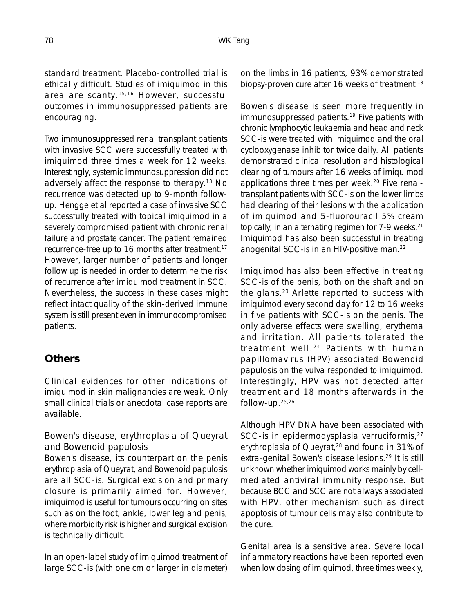standard treatment. Placebo-controlled trial is ethically difficult. Studies of imiquimod in this area are scanty.15,16 However, successful outcomes in immunosuppressed patients are encouraging.

Two immunosuppressed renal transplant patients with invasive SCC were successfully treated with imiquimod three times a week for 12 weeks. Interestingly, systemic immunosuppression did not adversely affect the response to therapy.13 No recurrence was detected up to 9-month followup. Hengge et al reported a case of invasive SCC successfully treated with topical imiquimod in a severely compromised patient with chronic renal failure and prostate cancer. The patient remained recurrence-free up to 16 months after treatment.17 However, larger number of patients and longer follow up is needed in order to determine the risk of recurrence after imiquimod treatment in SCC. Nevertheless, the success in these cases might reflect intact quality of the skin-derived immune system is still present even in immunocompromised patients.

### **Others**

Clinical evidences for other indications of imiquimod in skin malignancies are weak. Only small clinical trials or anecdotal case reports are available.

#### *Bowen's disease, erythroplasia of Queyrat and Bowenoid papulosis*

Bowen's disease, its counterpart on the penis erythroplasia of Queyrat, and Bowenoid papulosis are all SCC-is. Surgical excision and primary closure is primarily aimed for. However, imiquimod is useful for tumours occurring on sites such as on the foot, ankle, lower leg and penis, where morbidity risk is higher and surgical excision is technically difficult.

In an open-label study of imiquimod treatment of large SCC-is (with one cm or larger in diameter) on the limbs in 16 patients, 93% demonstrated biopsy-proven cure after 16 weeks of treatment.<sup>18</sup>

Bowen's disease is seen more frequently in immunosuppressed patients.<sup>19</sup> Five patients with chronic lymphocytic leukaemia and head and neck SCC-is were treated with imiquimod and the oral cyclooxygenase inhibitor twice daily. All patients demonstrated clinical resolution and histological clearing of tumours after 16 weeks of imiquimod applications three times per week.<sup>20</sup> Five renaltransplant patients with SCC-is on the lower limbs had clearing of their lesions with the application of imiquimod and 5-fluorouracil 5% cream topically, in an alternating regimen for 7-9 weeks.<sup>21</sup> Imiquimod has also been successful in treating anogenital SCC-is in an HIV-positive man.22

Imiquimod has also been effective in treating SCC-is of the penis, both on the shaft and on the glans.23 Arlette reported to success with imiquimod every second day for 12 to 16 weeks in five patients with SCC-is on the penis. The only adverse effects were swelling, erythema and irritation. All patients tolerated the treatment well. 24 Patients with human papillomavirus (HPV) associated Bowenoid papulosis on the vulva responded to imiquimod. Interestingly, HPV was not detected after treatment and 18 months afterwards in the follow-up.25,26

Although HPV DNA have been associated with SCC-is in epidermodysplasia verruciformis,<sup>27</sup> erythroplasia of Queyrat,<sup>28</sup> and found in 31% of extra-genital Bowen's disease lesions.29 It is still unknown whether imiquimod works mainly by cellmediated antiviral immunity response. But because BCC and SCC are not always associated with HPV, other mechanism such as direct apoptosis of tumour cells may also contribute to the cure.

Genital area is a sensitive area. Severe local inflammatory reactions have been reported even when low dosing of imiquimod, three times weekly,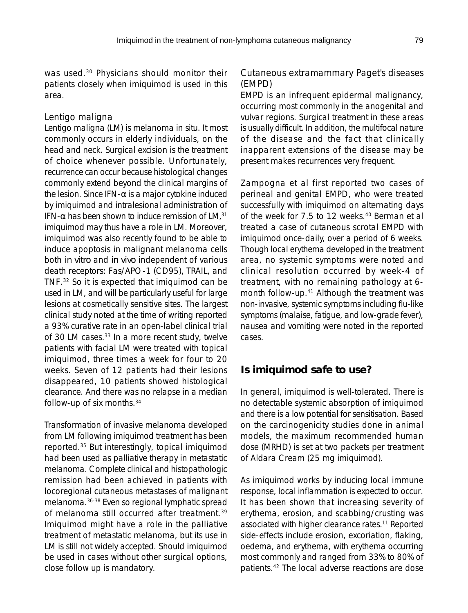was used.<sup>30</sup> Physicians should monitor their patients closely when imiquimod is used in this area.

#### *Lentigo maligna*

Lentigo maligna (LM) is melanoma in situ. It most commonly occurs in elderly individuals, on the head and neck. Surgical excision is the treatment of choice whenever possible. Unfortunately, recurrence can occur because histological changes commonly extend beyond the clinical margins of the lesion. Since IFN-α is a major cytokine induced by imiquimod and intralesional administration of IFN- $\alpha$  has been shown to induce remission of LM.<sup>31</sup> imiquimod may thus have a role in LM. Moreover, imiquimod was also recently found to be able to induce apoptosis in malignant melanoma cells both *in vitro* and *in vivo* independent of various death receptors: Fas/APO-1 (CD95), TRAIL, and TNF.32 So it is expected that imiquimod can be used in LM, and will be particularly useful for large lesions at cosmetically sensitive sites. The largest clinical study noted at the time of writing reported a 93% curative rate in an open-label clinical trial of 30 LM cases.<sup>33</sup> In a more recent study, twelve patients with facial LM were treated with topical imiquimod, three times a week for four to 20 weeks. Seven of 12 patients had their lesions disappeared, 10 patients showed histological clearance. And there was no relapse in a median follow-up of six months.34

Transformation of invasive melanoma developed from LM following imiquimod treatment has been reported.35 But interestingly, topical imiquimod had been used as palliative therapy in metastatic melanoma. Complete clinical and histopathologic remission had been achieved in patients with locoregional cutaneous metastases of malignant melanoma.36-38 Even so regional lymphatic spread of melanoma still occurred after treatment.<sup>39</sup> Imiquimod might have a role in the palliative treatment of metastatic melanoma, but its use in LM is still not widely accepted. Should imiquimod be used in cases without other surgical options, close follow up is mandatory.

#### *Cutaneous extramammary Paget's diseases (EMPD)*

EMPD is an infrequent epidermal malignancy, occurring most commonly in the anogenital and vulvar regions. Surgical treatment in these areas is usually difficult. In addition, the multifocal nature of the disease and the fact that clinically inapparent extensions of the disease may be present makes recurrences very frequent.

Zampogna et al first reported two cases of perineal and genital EMPD, who were treated successfully with imiquimod on alternating days of the week for 7.5 to 12 weeks.40 Berman et al treated a case of cutaneous scrotal EMPD with imiquimod once-daily, over a period of 6 weeks. Though local erythema developed in the treatment area, no systemic symptoms were noted and clinical resolution occurred by week-4 of treatment, with no remaining pathology at 6 month follow-up.41 Although the treatment was non-invasive, systemic symptoms including flu-like symptoms (malaise, fatigue, and low-grade fever), nausea and vomiting were noted in the reported cases.

### **Is imiquimod safe to use?**

In general, imiquimod is well-tolerated. There is no detectable systemic absorption of imiquimod and there is a low potential for sensitisation. Based on the carcinogenicity studies done in animal models, the maximum recommended human dose (MRHD) is set at two packets per treatment of Aldara Cream (25 mg imiquimod).

As imiquimod works by inducing local immune response, local inflammation is expected to occur. It has been shown that increasing severity of erythema, erosion, and scabbing/crusting was associated with higher clearance rates.<sup>11</sup> Reported side-effects include erosion, excoriation, flaking, oedema, and erythema, with erythema occurring most commonly and ranged from 33% to 80% of patients.42 The local adverse reactions are dose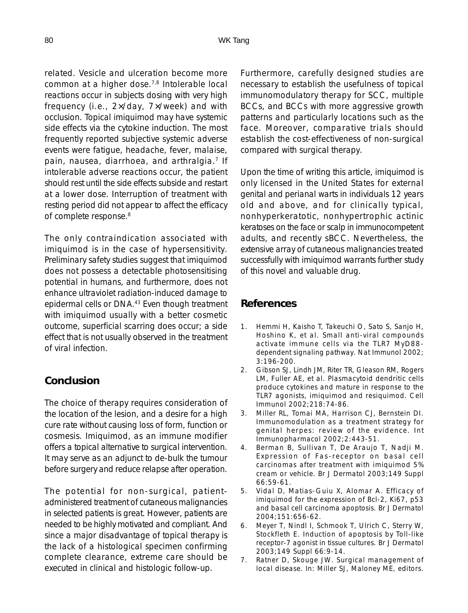related. Vesicle and ulceration become more common at a higher dose.7,8 Intolerable local reactions occur in subjects dosing with very high frequency (i.e., 2×/day, 7×/week) and with occlusion. Topical imiquimod may have systemic side effects via the cytokine induction. The most frequently reported subjective systemic adverse events were fatigue, headache, fever, malaise, pain, nausea, diarrhoea, and arthralgia.<sup>7</sup> If intolerable adverse reactions occur, the patient should rest until the side effects subside and restart at a lower dose. Interruption of treatment with resting period did not appear to affect the efficacy of complete response.<sup>8</sup>

The only contraindication associated with imiquimod is in the case of hypersensitivity. Preliminary safety studies suggest that imiquimod does not possess a detectable photosensitising potential in humans, and furthermore, does not enhance ultraviolet radiation-induced damage to epidermal cells or DNA.43 Even though treatment with imiquimod usually with a better cosmetic outcome, superficial scarring does occur; a side effect that is not usually observed in the treatment of viral infection.

## **Conclusion**

The choice of therapy requires consideration of the location of the lesion, and a desire for a high cure rate without causing loss of form, function or cosmesis. Imiquimod, as an immune modifier offers a topical alternative to surgical intervention. It may serve as an adjunct to de-bulk the tumour before surgery and reduce relapse after operation.

The potential for non-surgical, patientadministered treatment of cutaneous malignancies in selected patients is great. However, patients are needed to be highly motivated and compliant. And since a major disadvantage of topical therapy is the lack of a histological specimen confirming complete clearance, extreme care should be executed in clinical and histologic follow-up.

Furthermore, carefully designed studies are necessary to establish the usefulness of topical immunomodulatory therapy for SCC, multiple BCCs, and BCCs with more aggressive growth patterns and particularly locations such as the face. Moreover, comparative trials should establish the cost-effectiveness of non-surgical compared with surgical therapy.

Upon the time of writing this article, imiquimod is only licensed in the United States for external genital and perianal warts in individuals 12 years old and above, and for clinically typical, nonhyperkeratotic, nonhypertrophic actinic keratoses on the face or scalp in immunocompetent adults, and recently sBCC. Nevertheless, the extensive array of cutaneous malignancies treated successfully with imiquimod warrants further study of this novel and valuable drug.

### **References**

- 1. Hemmi H, Kaisho T, Takeuchi O, Sato S, Sanjo H, Hoshino K, et al. Small anti-viral compounds activate immune cells via the TLR7 MyD88 dependent signaling pathway. Nat Immunol 2002; 3:196-200.
- 2. Gibson SJ, Lindh JM, Riter TR, Gleason RM, Rogers LM, Fuller AE, et al. Plasmacytoid dendritic cells produce cytokines and mature in response to the TLR7 agonists, imiquimod and resiquimod. Cell Immunol 2002;218:74-86.
- 3. Miller RL, Tomai MA, Harrison CJ, Bernstein DI. Immunomodulation as a treatment strategy for genital herpes: review of the evidence. Int Immunopharmacol 2002;2:443-51.
- 4. Berman B, Sullivan T, De Araujo T, Nadji M. Expression of Fas-receptor on basal cell carcinomas after treatment with imiquimod 5% cream or vehicle. Br J Dermatol 2003;149 Suppl 66:59-61.
- 5. Vidal D, Matias-Guiu X, Alomar A. Efficacy of imiquimod for the expression of Bcl-2, Ki67, p53 and basal cell carcinoma apoptosis. Br J Dermatol 2004;151:656-62.
- 6. Meyer T, Nindl I, Schmook T, Ulrich C, Sterry W, Stockfleth E. Induction of apoptosis by Toll-like receptor-7 agonist in tissue cultures. Br J Dermatol 2003;149 Suppl 66:9-14.
- 7. Ratner D, Skouge JW. Surgical management of local disease. In: Miller SJ, Maloney ME, editors.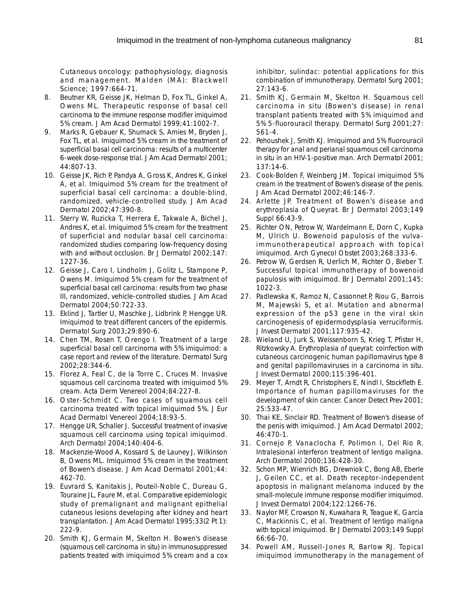Cutaneous oncology: pathophysiology, diagnosis and management. Malden (MA): Blackwell Science; 1997:664-71.

- 8. Beutner KR, Geisse JK, Helman D, Fox TL, Ginkel A, Owens ML. Therapeutic response of basal cell carcinoma to the immune response modifier imiquimod 5% cream. J Am Acad Dermatol 1999;41:1002-7.
- 9. Marks R, Gebauer K, Shumack S, Amies M, Bryden J, Fox TL, et al. Imiquimod 5% cream in the treatment of superficial basal cell carcinoma: results of a multicenter 6-week dose-response trial. J Am Acad Dermatol 2001; 44:807-13.
- 10. Geisse JK, Rich P, Pandya A, Gross K, Andres K, Ginkel A, et al. Imiquimod 5% cream for the treatment of superficial basal cell carcinoma: a double-blind, randomized, vehicle-controlled study. J Am Acad Dermatol 2002;47:390-8.
- 11. Sterry W, Ruzicka T, Herrera E, Takwale A, Bichel J, Andres K, et al. Imiquimod 5% cream for the treatment of superficial and nodular basal cell carcinoma: randomized studies comparing low-frequency dosing with and without occlusion. Br J Dermatol 2002;147: 1227-36.
- 12. Geisse J, Caro I, Lindholm J, Golitz L, Stampone P, Owens M. Imiquimod 5% cream for the treatment of superficial basal cell carcinoma: results from two phase III, randomized, vehicle-controlled studies. J Am Acad Dermatol 2004;50:722-33.
- 13. Eklind J, Tartler U, Maschke J, Lidbrink P, Hengge UR. Imiquimod to treat different cancers of the epidermis. Dermatol Surg 2003;29:890-6.
- 14. Chen TM, Rosen T, Orengo I. Treatment of a large superficial basal cell carcinoma with 5% imiquimod: a case report and review of the literature. Dermatol Surg 2002;28:344-6.
- 15. Florez A, Feal C, de la Torre C, Cruces M. Invasive squamous cell carcinoma treated with imiquimod 5% cream. Acta Derm Venereol 2004;84:227-8.
- 16. Oster-Schmidt C. Two cases of squamous cell carcinoma treated with topical imiquimod 5%. J Eur Acad Dermatol Venereol 2004;18:93-5.
- 17. Hengge UR, Schaller J. Successful treatment of invasive squamous cell carcinoma using topical imiquimod. Arch Dermatol 2004;140:404-6.
- 18. Mackenzie-Wood A, Kossard S, de Launey J, Wilkinson B, Owens ML. Imiquimod 5% cream in the treatment of Bowen's disease. J Am Acad Dermatol 2001;44: 462-70.
- 19. Euvrard S, Kanitakis J, Pouteil-Noble C, Dureau G, Touraine JL, Faure M, et al. Comparative epidemiologic study of premalignant and malignant epithelial cutaneous lesions developing after kidney and heart transplantation. J Am Acad Dermatol 1995;33(2 Pt 1): 222-9.
- 20. Smith KJ, Germain M, Skelton H. Bowen's disease (squamous cell carcinoma in situ) in immunosuppressed patients treated with imiquimod 5% cream and a cox

inhibitor, sulindac: potential applications for this combination of immunotherapy. Dermatol Surg 2001; 27:143-6.

- 21. Smith KJ, Germain M, Skelton H. Squamous cell carcinoma in situ (Bowen's disease) in renal transplant patients treated with 5% imiquimod and 5% 5-fluorouracil therapy. Dermatol Surg 2001;27: 561-4.
- 22. Pehoushek J, Smith KJ. Imiquimod and 5% fluorouracil therapy for anal and perianal squamous cell carcinoma in situ in an HIV-1-positive man. Arch Dermatol 2001; 137:14-6.
- 23. Cook-Bolden F, Weinberg JM. Topical imiquimod 5% cream in the treatment of Bowen's disease of the penis. J Am Acad Dermatol 2002;46:146-7.
- 24. Arlette JP. Treatment of Bowen's disease and erythroplasia of Queyrat. Br J Dermatol 2003;149 Suppl 66:43-9.
- 25. Richter ON, Petrow W, Wardelmann E, Dorn C, Kupka M, Ulrich U. Bowenoid papulosis of the vulvaimmunotherapeutical approach with topical imiquimod. Arch Gynecol Obstet 2003;268:333-6.
- 26. Petrow W, Gerdsen R, Uerlich M, Richter O, Bieber T. Successful topical immunotherapy of bowenoid papulosis with imiquimod. Br J Dermatol 2001;145: 1022-3.
- 27. Padlewska K, Ramoz N, Cassonnet P, Riou G, Barrois M, Majewski S, et al. Mutation and abnormal expression of the p53 gene in the viral skin carcinogenesis of epidermodysplasia verruciformis. J Invest Dermatol 2001;117:935-42.
- 28. Wieland U, Jurk S, Weissenborn S, Krieg T, Pfister H, Ritzkowsky A. Erythroplasia of queyrat: coinfection with cutaneous carcinogenic human papillomavirus type 8 and genital papillomaviruses in a carcinoma in situ. J Invest Dermatol 2000;115:396-401.
- 29. Meyer T, Arndt R, Christophers E, Nindl I, Stockfleth E. Importance of human papillomaviruses for the development of skin cancer. Cancer Detect Prev 2001; 25:533-47.
- 30. Thai KE, Sinclair RD. Treatment of Bowen's disease of the penis with imiquimod. J Am Acad Dermatol 2002; 46:470-1.
- 31. Cornejo P, Vanaclocha F, Polimon I, Del Rio R. Intralesional interferon treatment of lentigo maligna. Arch Dermatol 2000;136:428-30.
- 32. Schon MP, Wienrich BG, Drewniok C, Bong AB, Eberle J, Geilen CC, et al. Death receptor-independent apoptosis in malignant melanoma induced by the small-molecule immune response modifier imiquimod. J Invest Dermatol 2004;122:1266-76.
- 33. Naylor MF, Crowson N, Kuwahara R, Teague K, Garcia C, Mackinnis C, et al. Treatment of lentigo maligna with topical imiquimod. Br J Dermatol 2003;149 Suppl 66:66-70.
- 34. Powell AM, Russell-Jones R, Barlow RJ. Topical imiquimod immunotherapy in the management of